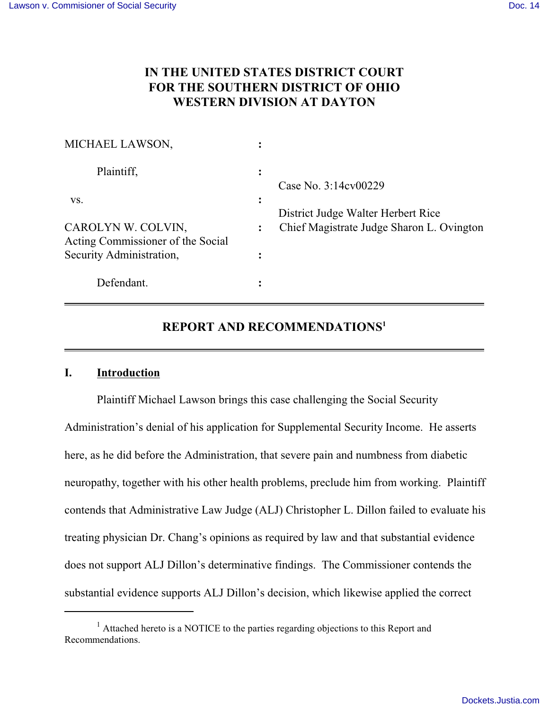# **IN THE UNITED STATES DISTRICT COURT FOR THE SOUTHERN DISTRICT OF OHIO WESTERN DIVISION AT DAYTON**

| MICHAEL LAWSON,                                         |   |                                                            |
|---------------------------------------------------------|---|------------------------------------------------------------|
| Plaintiff,                                              | ፡ | Case No. 3:14cv00229<br>District Judge Walter Herbert Rice |
| VS.                                                     | ፡ |                                                            |
| CAROLYN W. COLVIN,<br>Acting Commissioner of the Social |   | Chief Magistrate Judge Sharon L. Ovington                  |
| Security Administration,                                |   |                                                            |
| Defendant.                                              | ٠ |                                                            |

# **REPORT AND RECOMMENDATIONS<sup>1</sup>**

# **I. Introduction**

Plaintiff Michael Lawson brings this case challenging the Social Security Administration's denial of his application for Supplemental Security Income. He asserts here, as he did before the Administration, that severe pain and numbness from diabetic neuropathy, together with his other health problems, preclude him from working. Plaintiff contends that Administrative Law Judge (ALJ) Christopher L. Dillon failed to evaluate his treating physician Dr. Chang's opinions as required by law and that substantial evidence does not support ALJ Dillon's determinative findings. The Commissioner contends the substantial evidence supports ALJ Dillon's decision, which likewise applied the correct

 $<sup>1</sup>$  Attached hereto is a NOTICE to the parties regarding objections to this Report and</sup> Recommendations.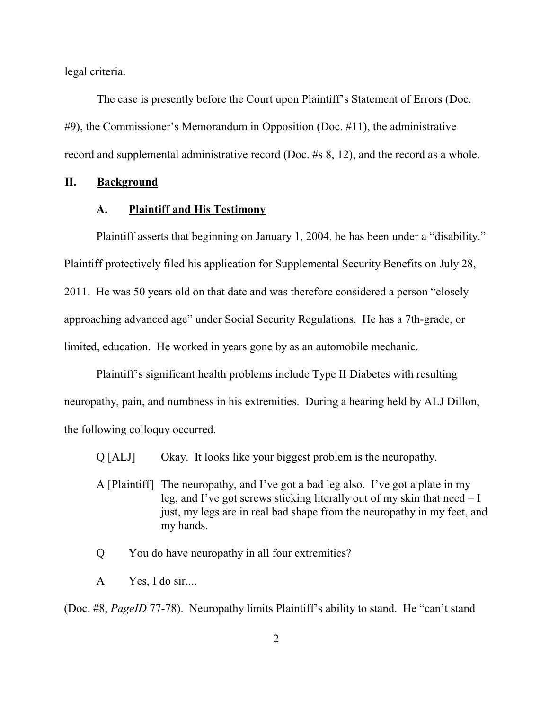legal criteria.

The case is presently before the Court upon Plaintiff's Statement of Errors (Doc. #9), the Commissioner's Memorandum in Opposition (Doc. #11), the administrative record and supplemental administrative record (Doc. #s 8, 12), and the record as a whole.

## **II. Background**

### **A. Plaintiff and His Testimony**

Plaintiff asserts that beginning on January 1, 2004, he has been under a "disability." Plaintiff protectively filed his application for Supplemental Security Benefits on July 28, 2011. He was 50 years old on that date and was therefore considered a person "closely approaching advanced age" under Social Security Regulations. He has a 7th-grade, or limited, education. He worked in years gone by as an automobile mechanic.

Plaintiff's significant health problems include Type II Diabetes with resulting neuropathy, pain, and numbness in his extremities. During a hearing held by ALJ Dillon, the following colloquy occurred.

Q [ALJ] Okay. It looks like your biggest problem is the neuropathy.

- A [Plaintiff] The neuropathy, and I've got a bad leg also. I've got a plate in my leg, and I've got screws sticking literally out of my skin that need – I just, my legs are in real bad shape from the neuropathy in my feet, and my hands.
- Q You do have neuropathy in all four extremities?
- A Yes, I do sir....

(Doc. #8, *PageID* 77-78). Neuropathy limits Plaintiff's ability to stand. He "can't stand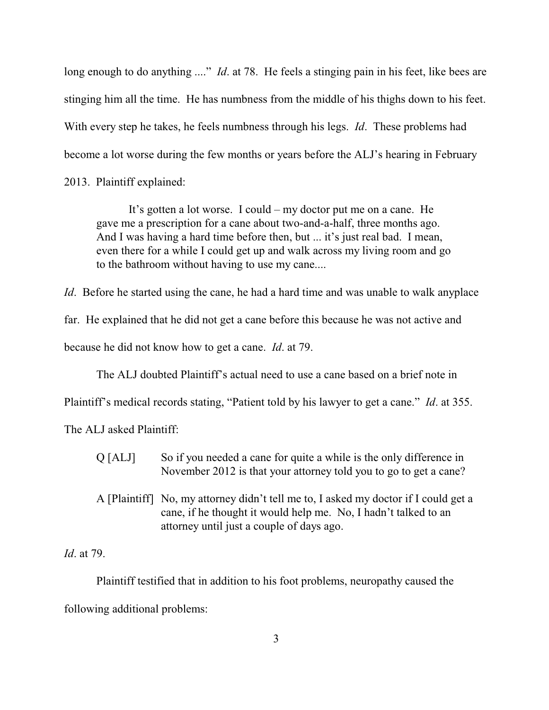long enough to do anything ...." *Id*. at 78. He feels a stinging pain in his feet, like bees are stinging him all the time. He has numbness from the middle of his thighs down to his feet. With every step he takes, he feels numbness through his legs. *Id*. These problems had become a lot worse during the few months or years before the ALJ's hearing in February

2013. Plaintiff explained:

It's gotten a lot worse. I could – my doctor put me on a cane. He gave me a prescription for a cane about two-and-a-half, three months ago. And I was having a hard time before then, but ... it's just real bad. I mean, even there for a while I could get up and walk across my living room and go to the bathroom without having to use my cane....

*Id.* Before he started using the cane, he had a hard time and was unable to walk anyplace

far. He explained that he did not get a cane before this because he was not active and

because he did not know how to get a cane. *Id*. at 79.

The ALJ doubted Plaintiff's actual need to use a cane based on a brief note in

Plaintiff's medical records stating, "Patient told by his lawyer to get a cane." *Id*. at 355.

The ALJ asked Plaintiff:

- Q [ALJ] So if you needed a cane for quite a while is the only difference in November 2012 is that your attorney told you to go to get a cane?
- A [Plaintiff] No, my attorney didn't tell me to, I asked my doctor if I could get a cane, if he thought it would help me. No, I hadn't talked to an attorney until just a couple of days ago.

*Id*. at 79.

Plaintiff testified that in addition to his foot problems, neuropathy caused the following additional problems: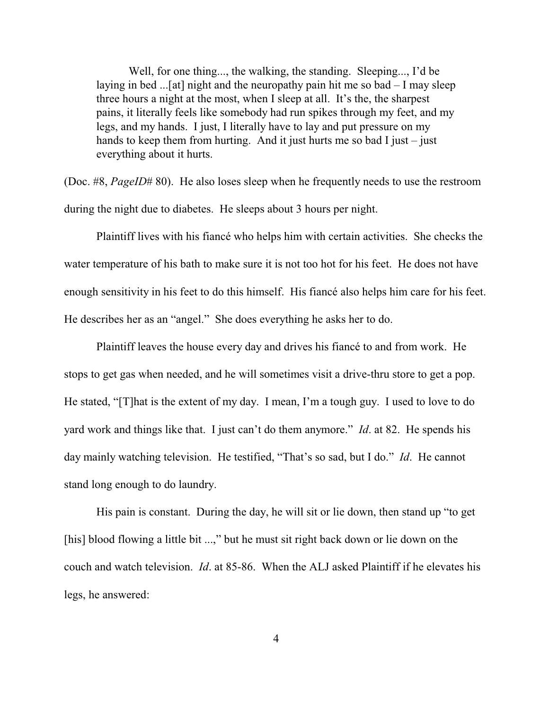Well, for one thing..., the walking, the standing. Sleeping..., I'd be laying in bed ...[at] night and the neuropathy pain hit me so  $bad - I$  may sleep three hours a night at the most, when I sleep at all. It's the, the sharpest pains, it literally feels like somebody had run spikes through my feet, and my legs, and my hands. I just, I literally have to lay and put pressure on my hands to keep them from hurting. And it just hurts me so bad I just – just everything about it hurts.

(Doc. #8, *PageID*# 80). He also loses sleep when he frequently needs to use the restroom during the night due to diabetes. He sleeps about 3 hours per night.

Plaintiff lives with his fiancé who helps him with certain activities. She checks the water temperature of his bath to make sure it is not too hot for his feet. He does not have enough sensitivity in his feet to do this himself. His fiancé also helps him care for his feet. He describes her as an "angel." She does everything he asks her to do.

Plaintiff leaves the house every day and drives his fiancé to and from work. He stops to get gas when needed, and he will sometimes visit a drive-thru store to get a pop. He stated, "[T]hat is the extent of my day. I mean, I'm a tough guy. I used to love to do yard work and things like that. I just can't do them anymore." *Id*. at 82. He spends his day mainly watching television. He testified, "That's so sad, but I do." *Id*. He cannot stand long enough to do laundry.

His pain is constant. During the day, he will sit or lie down, then stand up "to get [his] blood flowing a little bit ...," but he must sit right back down or lie down on the couch and watch television. *Id*. at 85-86. When the ALJ asked Plaintiff if he elevates his legs, he answered: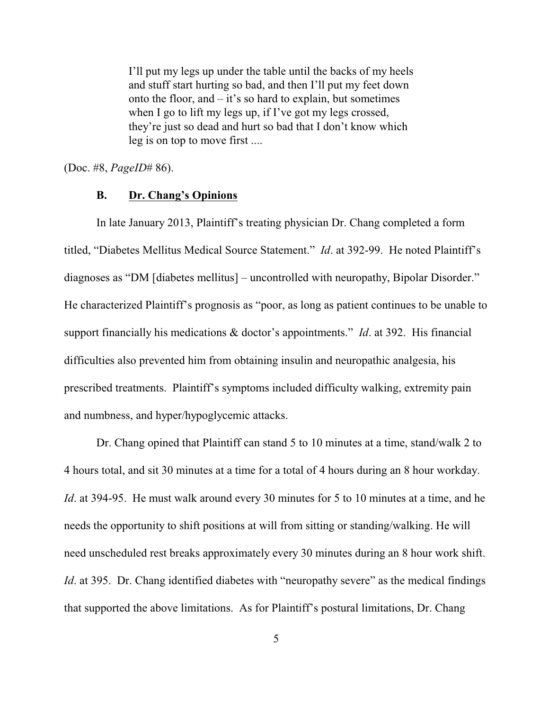I'll put my legs up under the table until the backs of my heels and stuff start hurting so bad, and then I'll put my feet down onto the floor, and – it's so hard to explain, but sometimes when I go to lift my legs up, if I've got my legs crossed, they're just so dead and hurt so bad that I don't know which leg is on top to move first ....

(Doc. #8, *PageID*# 86).

# **B. Dr. Chang's Opinions**

In late January 2013, Plaintiff's treating physician Dr. Chang completed a form titled, "Diabetes Mellitus Medical Source Statement." *Id*. at 392-99. He noted Plaintiff's diagnoses as "DM [diabetes mellitus] – uncontrolled with neuropathy, Bipolar Disorder." He characterized Plaintiff's prognosis as "poor, as long as patient continues to be unable to support financially his medications & doctor's appointments." *Id*. at 392. His financial difficulties also prevented him from obtaining insulin and neuropathic analgesia, his prescribed treatments. Plaintiff's symptoms included difficulty walking, extremity pain and numbness, and hyper/hypoglycemic attacks.

Dr. Chang opined that Plaintiff can stand 5 to 10 minutes at a time, stand/walk 2 to 4 hours total, and sit 30 minutes at a time for a total of 4 hours during an 8 hour workday. *Id*. at 394-95. He must walk around every 30 minutes for 5 to 10 minutes at a time, and he needs the opportunity to shift positions at will from sitting or standing/walking. He will need unscheduled rest breaks approximately every 30 minutes during an 8 hour work shift. *Id.* at 395. Dr. Chang identified diabetes with "neuropathy severe" as the medical findings that supported the above limitations. As for Plaintiff's postural limitations, Dr. Chang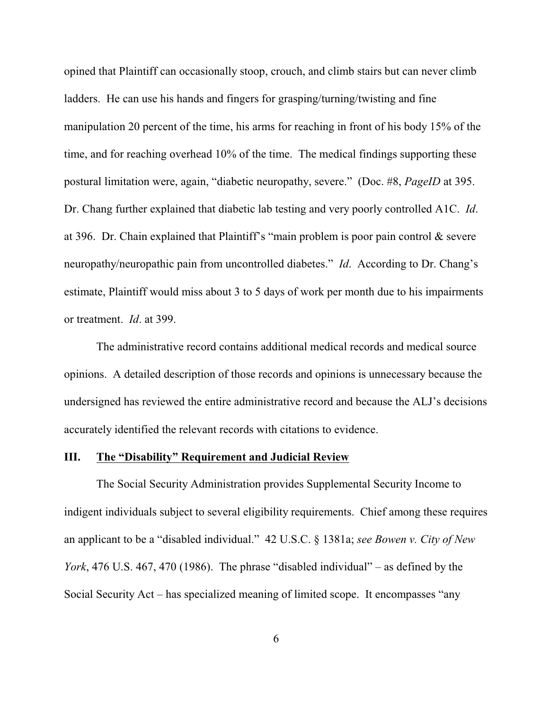opined that Plaintiff can occasionally stoop, crouch, and climb stairs but can never climb ladders. He can use his hands and fingers for grasping/turning/twisting and fine manipulation 20 percent of the time, his arms for reaching in front of his body 15% of the time, and for reaching overhead 10% of the time. The medical findings supporting these postural limitation were, again, "diabetic neuropathy, severe." (Doc. #8, *PageID* at 395. Dr. Chang further explained that diabetic lab testing and very poorly controlled A1C. *Id*. at 396. Dr. Chain explained that Plaintiff's "main problem is poor pain control & severe neuropathy/neuropathic pain from uncontrolled diabetes." *Id*. According to Dr. Chang's estimate, Plaintiff would miss about 3 to 5 days of work per month due to his impairments or treatment. *Id*. at 399.

The administrative record contains additional medical records and medical source opinions. A detailed description of those records and opinions is unnecessary because the undersigned has reviewed the entire administrative record and because the ALJ's decisions accurately identified the relevant records with citations to evidence.

#### **III. The "Disability" Requirement and Judicial Review**

The Social Security Administration provides Supplemental Security Income to indigent individuals subject to several eligibility requirements. Chief among these requires an applicant to be a "disabled individual." 42 U.S.C. § 1381a; *see Bowen v. City of New York*, 476 U.S. 467, 470 (1986). The phrase "disabled individual" – as defined by the Social Security Act – has specialized meaning of limited scope. It encompasses "any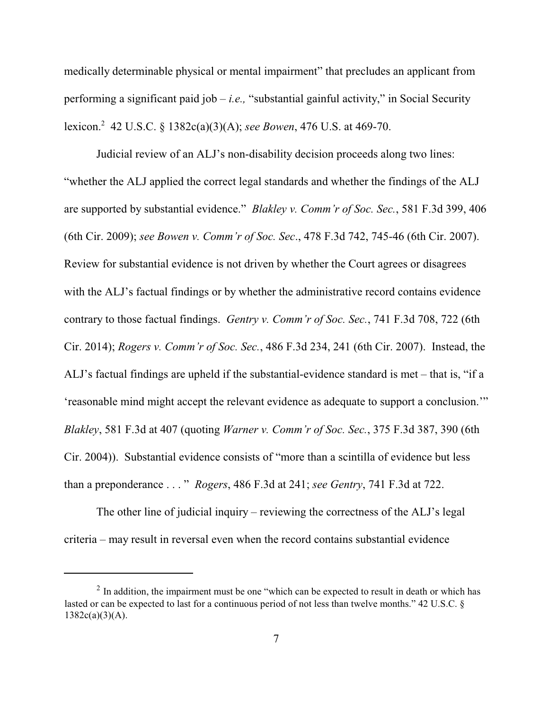medically determinable physical or mental impairment" that precludes an applicant from performing a significant paid job – *i.e.,* "substantial gainful activity," in Social Security lexicon.<sup>2</sup> 42 U.S.C. § 1382c(a)(3)(A); *see Bowen*, 476 U.S. at 469-70.

Judicial review of an ALJ's non-disability decision proceeds along two lines: "whether the ALJ applied the correct legal standards and whether the findings of the ALJ are supported by substantial evidence." *Blakley v. Comm'r of Soc. Sec.*, 581 F.3d 399, 406 (6th Cir. 2009); *see Bowen v. Comm'r of Soc. Sec*., 478 F.3d 742, 745-46 (6th Cir. 2007). Review for substantial evidence is not driven by whether the Court agrees or disagrees with the ALJ's factual findings or by whether the administrative record contains evidence contrary to those factual findings. *Gentry v. Comm'r of Soc. Sec.*, 741 F.3d 708, 722 (6th Cir. 2014); *Rogers v. Comm'r of Soc. Sec.*, 486 F.3d 234, 241 (6th Cir. 2007). Instead, the ALJ's factual findings are upheld if the substantial-evidence standard is met – that is, "if a 'reasonable mind might accept the relevant evidence as adequate to support a conclusion.'" *Blakley*, 581 F.3d at 407 (quoting *Warner v. Comm'r of Soc. Sec.*, 375 F.3d 387, 390 (6th Cir. 2004)). Substantial evidence consists of "more than a scintilla of evidence but less than a preponderance . . . " *Rogers*, 486 F.3d at 241; *see Gentry*, 741 F.3d at 722.

The other line of judicial inquiry – reviewing the correctness of the ALJ's legal criteria – may result in reversal even when the record contains substantial evidence

 $2 \text{ In addition, the impairment must be one "which can be expected to result in death or which has}$ lasted or can be expected to last for a continuous period of not less than twelve months." 42 U.S.C. §  $1382c(a)(3)(A)$ .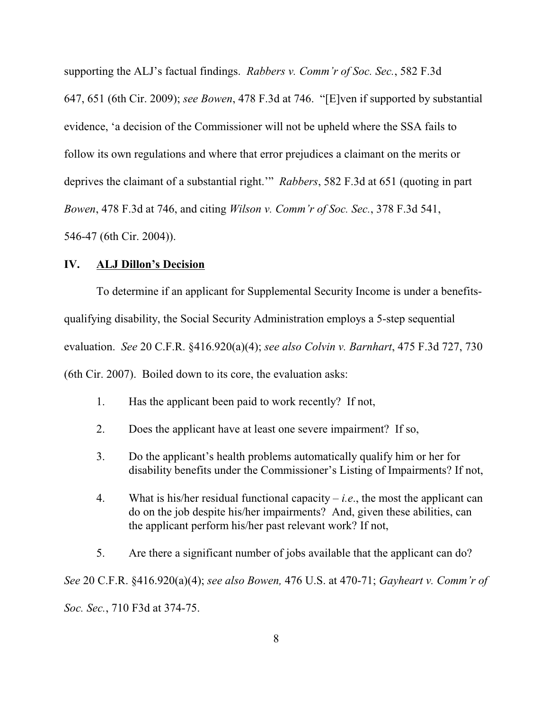supporting the ALJ's factual findings. *Rabbers v. Comm'r of Soc. Sec.*, 582 F.3d 647, 651 (6th Cir. 2009); *see Bowen*, 478 F.3d at 746. "[E]ven if supported by substantial evidence, 'a decision of the Commissioner will not be upheld where the SSA fails to follow its own regulations and where that error prejudices a claimant on the merits or deprives the claimant of a substantial right.'" *Rabbers*, 582 F.3d at 651 (quoting in part *Bowen*, 478 F.3d at 746, and citing *Wilson v. Comm'r of Soc. Sec.*, 378 F.3d 541, 546-47 (6th Cir. 2004)).

#### **IV. ALJ Dillon's Decision**

To determine if an applicant for Supplemental Security Income is under a benefitsqualifying disability, the Social Security Administration employs a 5-step sequential evaluation. *See* 20 C.F.R. §416.920(a)(4); *see also Colvin v. Barnhart*, 475 F.3d 727, 730 (6th Cir. 2007). Boiled down to its core, the evaluation asks:

- 1. Has the applicant been paid to work recently? If not,
- 2. Does the applicant have at least one severe impairment? If so,
- 3. Do the applicant's health problems automatically qualify him or her for disability benefits under the Commissioner's Listing of Impairments? If not,
- 4. What is his/her residual functional capacity *i.e*., the most the applicant can do on the job despite his/her impairments? And, given these abilities, can the applicant perform his/her past relevant work? If not,
- 5. Are there a significant number of jobs available that the applicant can do?

*See* 20 C.F.R. §416.920(a)(4); *see also Bowen,* 476 U.S. at 470-71; *Gayheart v. Comm'r of Soc. Sec.*, 710 F3d at 374-75.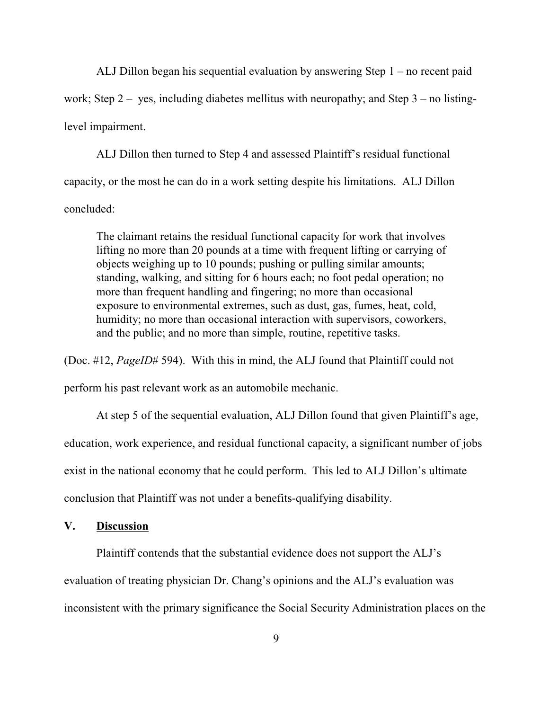ALJ Dillon began his sequential evaluation by answering Step 1 – no recent paid work; Step  $2 - y$ es, including diabetes mellitus with neuropathy; and Step  $3 -$  no listinglevel impairment.

ALJ Dillon then turned to Step 4 and assessed Plaintiff's residual functional capacity, or the most he can do in a work setting despite his limitations. ALJ Dillon concluded:

The claimant retains the residual functional capacity for work that involves lifting no more than 20 pounds at a time with frequent lifting or carrying of objects weighing up to 10 pounds; pushing or pulling similar amounts; standing, walking, and sitting for 6 hours each; no foot pedal operation; no more than frequent handling and fingering; no more than occasional exposure to environmental extremes, such as dust, gas, fumes, heat, cold, humidity; no more than occasional interaction with supervisors, coworkers, and the public; and no more than simple, routine, repetitive tasks.

(Doc. #12, *PageID*# 594). With this in mind, the ALJ found that Plaintiff could not

perform his past relevant work as an automobile mechanic.

At step 5 of the sequential evaluation, ALJ Dillon found that given Plaintiff's age, education, work experience, and residual functional capacity, a significant number of jobs exist in the national economy that he could perform. This led to ALJ Dillon's ultimate conclusion that Plaintiff was not under a benefits-qualifying disability.

# **V. Discussion**

Plaintiff contends that the substantial evidence does not support the ALJ's evaluation of treating physician Dr. Chang's opinions and the ALJ's evaluation was inconsistent with the primary significance the Social Security Administration places on the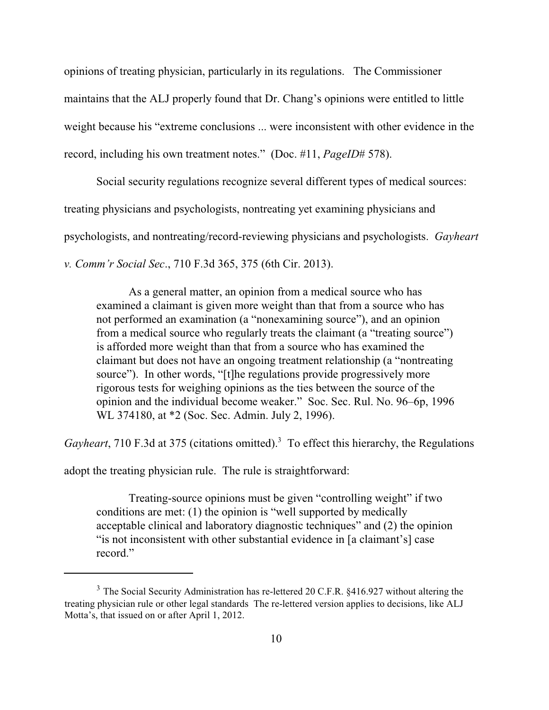opinions of treating physician, particularly in its regulations. The Commissioner maintains that the ALJ properly found that Dr. Chang's opinions were entitled to little weight because his "extreme conclusions ... were inconsistent with other evidence in the record, including his own treatment notes." (Doc. #11, *PageID*# 578).

Social security regulations recognize several different types of medical sources: treating physicians and psychologists, nontreating yet examining physicians and psychologists, and nontreating/record-reviewing physicians and psychologists. *Gayheart v. Comm'r Social Sec*., 710 F.3d 365, 375 (6th Cir. 2013).

As a general matter, an opinion from a medical source who has examined a claimant is given more weight than that from a source who has not performed an examination (a "nonexamining source"), and an opinion from a medical source who regularly treats the claimant (a "treating source") is afforded more weight than that from a source who has examined the claimant but does not have an ongoing treatment relationship (a "nontreating source"). In other words, "[t]he regulations provide progressively more rigorous tests for weighing opinions as the ties between the source of the opinion and the individual become weaker." Soc. Sec. Rul. No. 96–6p, 1996 WL 374180, at \*2 (Soc. Sec. Admin. July 2, 1996).

*Gayheart*, 710 F.3d at 375 (citations omitted).<sup>3</sup> To effect this hierarchy, the Regulations

adopt the treating physician rule. The rule is straightforward:

Treating-source opinions must be given "controlling weight" if two conditions are met: (1) the opinion is "well supported by medically acceptable clinical and laboratory diagnostic techniques" and (2) the opinion "is not inconsistent with other substantial evidence in [a claimant's] case record."

 $3$  The Social Security Administration has re-lettered 20 C.F.R. §416.927 without altering the treating physician rule or other legal standards The re-lettered version applies to decisions, like ALJ Motta's, that issued on or after April 1, 2012.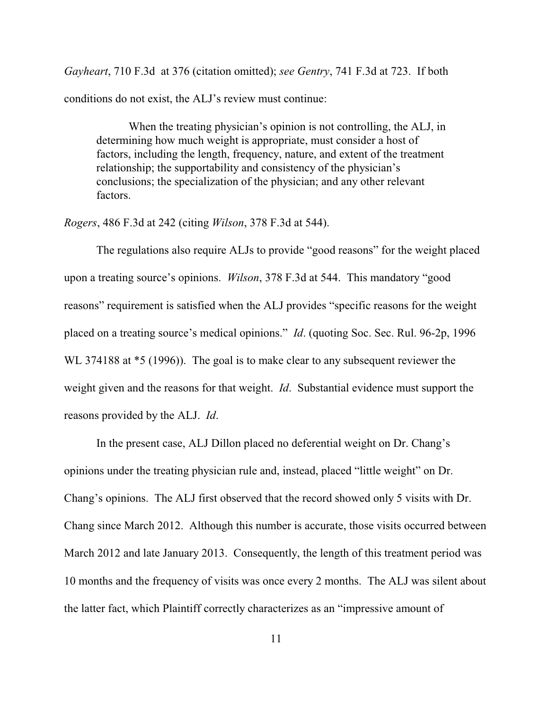*Gayheart*, 710 F.3d at 376 (citation omitted); *see Gentry*, 741 F.3d at 723. If both conditions do not exist, the ALJ's review must continue:

When the treating physician's opinion is not controlling, the ALJ, in determining how much weight is appropriate, must consider a host of factors, including the length, frequency, nature, and extent of the treatment relationship; the supportability and consistency of the physician's conclusions; the specialization of the physician; and any other relevant factors.

*Rogers*, 486 F.3d at 242 (citing *Wilson*, 378 F.3d at 544).

The regulations also require ALJs to provide "good reasons" for the weight placed upon a treating source's opinions. *Wilson*, 378 F.3d at 544. This mandatory "good reasons" requirement is satisfied when the ALJ provides "specific reasons for the weight placed on a treating source's medical opinions." *Id*. (quoting Soc. Sec. Rul. 96-2p, 1996 WL 374188 at  $*5$  (1996)). The goal is to make clear to any subsequent reviewer the weight given and the reasons for that weight. *Id*. Substantial evidence must support the reasons provided by the ALJ. *Id*.

In the present case, ALJ Dillon placed no deferential weight on Dr. Chang's opinions under the treating physician rule and, instead, placed "little weight" on Dr. Chang's opinions. The ALJ first observed that the record showed only 5 visits with Dr. Chang since March 2012. Although this number is accurate, those visits occurred between March 2012 and late January 2013. Consequently, the length of this treatment period was 10 months and the frequency of visits was once every 2 months. The ALJ was silent about the latter fact, which Plaintiff correctly characterizes as an "impressive amount of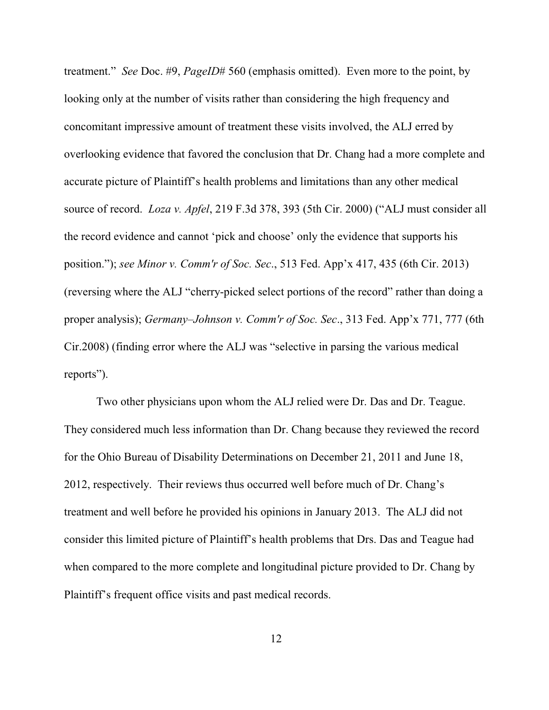treatment." *See* Doc. #9, *PageID*# 560 (emphasis omitted). Even more to the point, by looking only at the number of visits rather than considering the high frequency and concomitant impressive amount of treatment these visits involved, the ALJ erred by overlooking evidence that favored the conclusion that Dr. Chang had a more complete and accurate picture of Plaintiff's health problems and limitations than any other medical source of record. *Loza v. Apfel*, 219 F.3d 378, 393 (5th Cir. 2000) ("ALJ must consider all the record evidence and cannot 'pick and choose' only the evidence that supports his position."); *see Minor v. Comm'r of Soc. Sec*., 513 Fed. App'x 417, 435 (6th Cir. 2013) (reversing where the ALJ "cherry-picked select portions of the record" rather than doing a proper analysis); *Germany–Johnson v. Comm'r of Soc. Sec*., 313 Fed. App'x 771, 777 (6th Cir.2008) (finding error where the ALJ was "selective in parsing the various medical reports").

Two other physicians upon whom the ALJ relied were Dr. Das and Dr. Teague. They considered much less information than Dr. Chang because they reviewed the record for the Ohio Bureau of Disability Determinations on December 21, 2011 and June 18, 2012, respectively. Their reviews thus occurred well before much of Dr. Chang's treatment and well before he provided his opinions in January 2013. The ALJ did not consider this limited picture of Plaintiff's health problems that Drs. Das and Teague had when compared to the more complete and longitudinal picture provided to Dr. Chang by Plaintiff's frequent office visits and past medical records.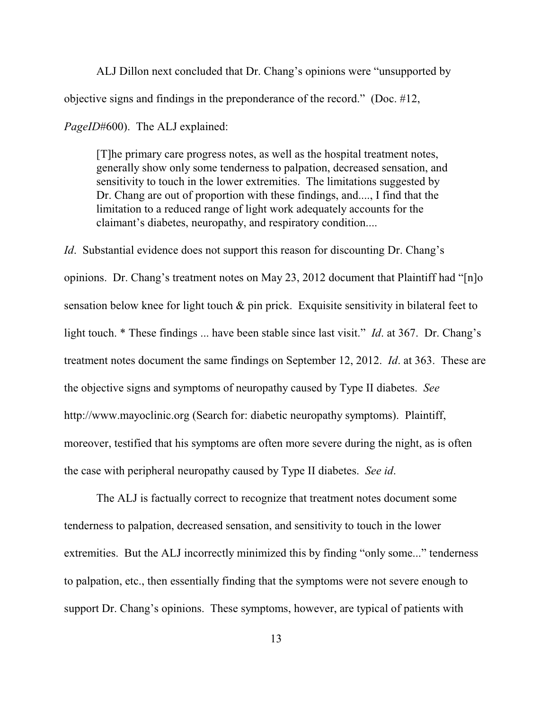ALJ Dillon next concluded that Dr. Chang's opinions were "unsupported by objective signs and findings in the preponderance of the record." (Doc. #12, *PageID*#600). The ALJ explained:

[T]he primary care progress notes, as well as the hospital treatment notes, generally show only some tenderness to palpation, decreased sensation, and sensitivity to touch in the lower extremities. The limitations suggested by Dr. Chang are out of proportion with these findings, and...., I find that the limitation to a reduced range of light work adequately accounts for the claimant's diabetes, neuropathy, and respiratory condition....

*Id.* Substantial evidence does not support this reason for discounting Dr. Chang's opinions. Dr. Chang's treatment notes on May 23, 2012 document that Plaintiff had "[n]o sensation below knee for light touch  $\&$  pin prick. Exquisite sensitivity in bilateral feet to light touch. \* These findings ... have been stable since last visit." *Id*. at 367. Dr. Chang's treatment notes document the same findings on September 12, 2012. *Id*. at 363. These are the objective signs and symptoms of neuropathy caused by Type II diabetes. *See* http://www.mayoclinic.org (Search for: diabetic neuropathy symptoms). Plaintiff, moreover, testified that his symptoms are often more severe during the night, as is often the case with peripheral neuropathy caused by Type II diabetes. *See id*.

The ALJ is factually correct to recognize that treatment notes document some tenderness to palpation, decreased sensation, and sensitivity to touch in the lower extremities. But the ALJ incorrectly minimized this by finding "only some..." tenderness to palpation, etc., then essentially finding that the symptoms were not severe enough to support Dr. Chang's opinions. These symptoms, however, are typical of patients with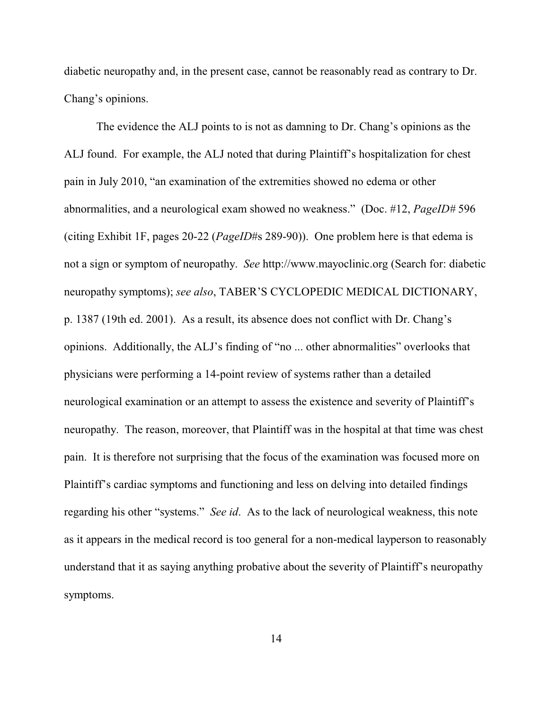diabetic neuropathy and, in the present case, cannot be reasonably read as contrary to Dr. Chang's opinions.

The evidence the ALJ points to is not as damning to Dr. Chang's opinions as the ALJ found. For example, the ALJ noted that during Plaintiff's hospitalization for chest pain in July 2010, "an examination of the extremities showed no edema or other abnormalities, and a neurological exam showed no weakness." (Doc. #12, *PageID#* 596 (citing Exhibit 1F, pages 20-22 (*PageID*#s 289-90)). One problem here is that edema is not a sign or symptom of neuropathy. *See* http://www.mayoclinic.org (Search for: diabetic neuropathy symptoms); *see also*, TABER'S CYCLOPEDIC MEDICAL DICTIONARY, p. 1387 (19th ed. 2001). As a result, its absence does not conflict with Dr. Chang's opinions. Additionally, the ALJ's finding of "no ... other abnormalities" overlooks that physicians were performing a 14-point review of systems rather than a detailed neurological examination or an attempt to assess the existence and severity of Plaintiff's neuropathy. The reason, moreover, that Plaintiff was in the hospital at that time was chest pain. It is therefore not surprising that the focus of the examination was focused more on Plaintiff's cardiac symptoms and functioning and less on delving into detailed findings regarding his other "systems." *See id*. As to the lack of neurological weakness, this note as it appears in the medical record is too general for a non-medical layperson to reasonably understand that it as saying anything probative about the severity of Plaintiff's neuropathy symptoms.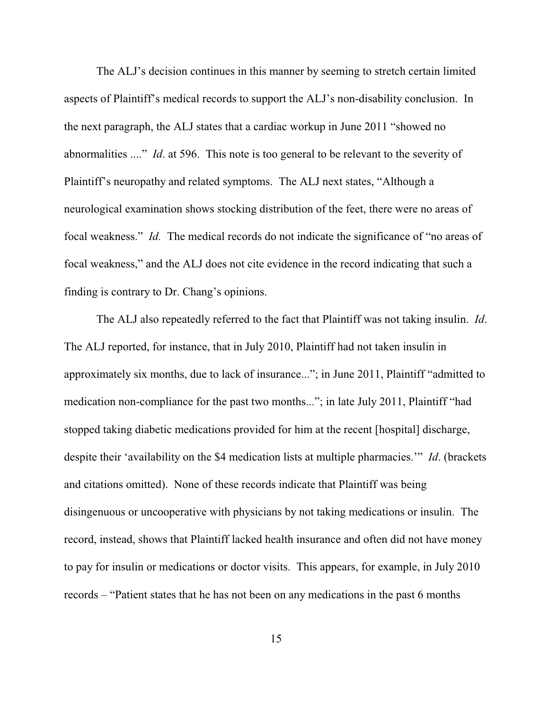The ALJ's decision continues in this manner by seeming to stretch certain limited aspects of Plaintiff's medical records to support the ALJ's non-disability conclusion. In the next paragraph, the ALJ states that a cardiac workup in June 2011 "showed no abnormalities ...." *Id*. at 596. This note is too general to be relevant to the severity of Plaintiff's neuropathy and related symptoms. The ALJ next states, "Although a neurological examination shows stocking distribution of the feet, there were no areas of focal weakness." *Id.* The medical records do not indicate the significance of "no areas of focal weakness," and the ALJ does not cite evidence in the record indicating that such a finding is contrary to Dr. Chang's opinions.

The ALJ also repeatedly referred to the fact that Plaintiff was not taking insulin. *Id*. The ALJ reported, for instance, that in July 2010, Plaintiff had not taken insulin in approximately six months, due to lack of insurance..."; in June 2011, Plaintiff "admitted to medication non-compliance for the past two months..."; in late July 2011, Plaintiff "had stopped taking diabetic medications provided for him at the recent [hospital] discharge, despite their 'availability on the \$4 medication lists at multiple pharmacies.'" *Id*. (brackets and citations omitted). None of these records indicate that Plaintiff was being disingenuous or uncooperative with physicians by not taking medications or insulin. The record, instead, shows that Plaintiff lacked health insurance and often did not have money to pay for insulin or medications or doctor visits. This appears, for example, in July 2010 records – "Patient states that he has not been on any medications in the past 6 months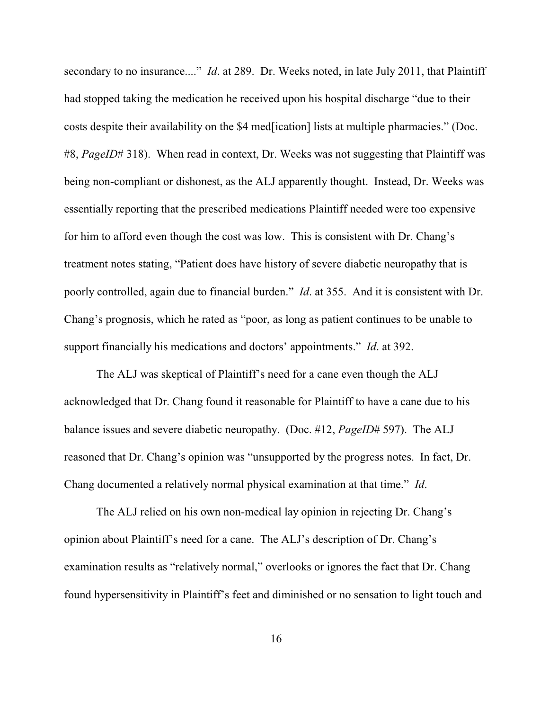secondary to no insurance...." *Id*. at 289. Dr. Weeks noted, in late July 2011, that Plaintiff had stopped taking the medication he received upon his hospital discharge "due to their costs despite their availability on the \$4 med[ication] lists at multiple pharmacies." (Doc. #8, *PageID*# 318). When read in context, Dr. Weeks was not suggesting that Plaintiff was being non-compliant or dishonest, as the ALJ apparently thought. Instead, Dr. Weeks was essentially reporting that the prescribed medications Plaintiff needed were too expensive for him to afford even though the cost was low. This is consistent with Dr. Chang's treatment notes stating, "Patient does have history of severe diabetic neuropathy that is poorly controlled, again due to financial burden." *Id*. at 355. And it is consistent with Dr. Chang's prognosis, which he rated as "poor, as long as patient continues to be unable to support financially his medications and doctors' appointments." *Id*. at 392.

The ALJ was skeptical of Plaintiff's need for a cane even though the ALJ acknowledged that Dr. Chang found it reasonable for Plaintiff to have a cane due to his balance issues and severe diabetic neuropathy. (Doc. #12, *PageID*# 597). The ALJ reasoned that Dr. Chang's opinion was "unsupported by the progress notes. In fact, Dr. Chang documented a relatively normal physical examination at that time." *Id*.

The ALJ relied on his own non-medical lay opinion in rejecting Dr. Chang's opinion about Plaintiff's need for a cane. The ALJ's description of Dr. Chang's examination results as "relatively normal," overlooks or ignores the fact that Dr. Chang found hypersensitivity in Plaintiff's feet and diminished or no sensation to light touch and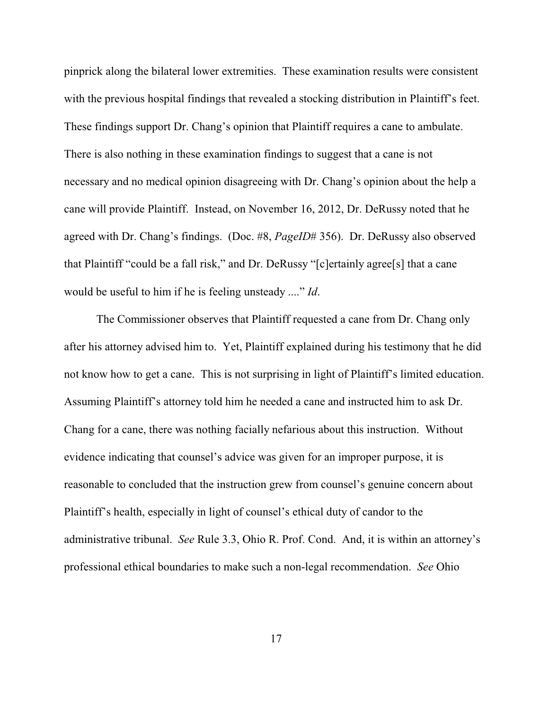pinprick along the bilateral lower extremities. These examination results were consistent with the previous hospital findings that revealed a stocking distribution in Plaintiff's feet. These findings support Dr. Chang's opinion that Plaintiff requires a cane to ambulate. There is also nothing in these examination findings to suggest that a cane is not necessary and no medical opinion disagreeing with Dr. Chang's opinion about the help a cane will provide Plaintiff. Instead, on November 16, 2012, Dr. DeRussy noted that he agreed with Dr. Chang's findings. (Doc. #8, *PageID*# 356). Dr. DeRussy also observed that Plaintiff "could be a fall risk," and Dr. DeRussy "[c]ertainly agree[s] that a cane would be useful to him if he is feeling unsteady ...." *Id*.

The Commissioner observes that Plaintiff requested a cane from Dr. Chang only after his attorney advised him to. Yet, Plaintiff explained during his testimony that he did not know how to get a cane. This is not surprising in light of Plaintiff's limited education. Assuming Plaintiff's attorney told him he needed a cane and instructed him to ask Dr. Chang for a cane, there was nothing facially nefarious about this instruction. Without evidence indicating that counsel's advice was given for an improper purpose, it is reasonable to concluded that the instruction grew from counsel's genuine concern about Plaintiff's health, especially in light of counsel's ethical duty of candor to the administrative tribunal. *See* Rule 3.3, Ohio R. Prof. Cond. And, it is within an attorney's professional ethical boundaries to make such a non-legal recommendation. *See* Ohio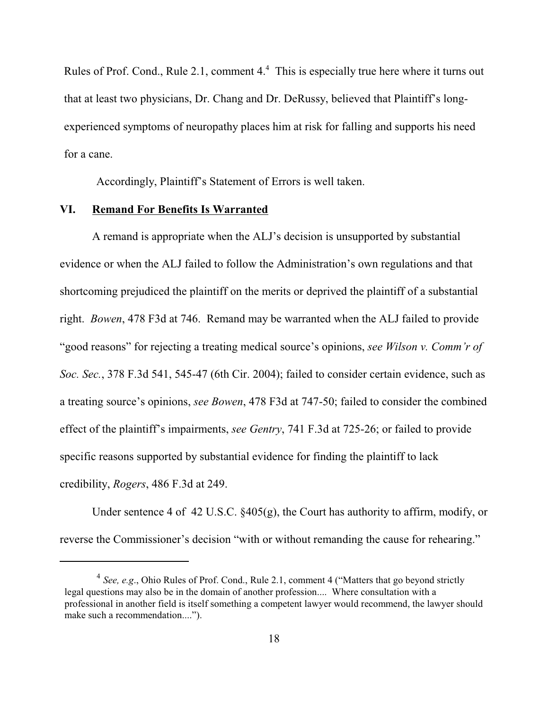Rules of Prof. Cond., Rule 2.1, comment  $4<sup>4</sup>$ . This is especially true here where it turns out that at least two physicians, Dr. Chang and Dr. DeRussy, believed that Plaintiff's longexperienced symptoms of neuropathy places him at risk for falling and supports his need for a cane.

Accordingly, Plaintiff's Statement of Errors is well taken.

#### **VI. Remand For Benefits Is Warranted**

A remand is appropriate when the ALJ's decision is unsupported by substantial evidence or when the ALJ failed to follow the Administration's own regulations and that shortcoming prejudiced the plaintiff on the merits or deprived the plaintiff of a substantial right. *Bowen*, 478 F3d at 746. Remand may be warranted when the ALJ failed to provide "good reasons" for rejecting a treating medical source's opinions, *see Wilson v. Comm'r of Soc. Sec.*, 378 F.3d 541, 545-47 (6th Cir. 2004); failed to consider certain evidence, such as a treating source's opinions, *see Bowen*, 478 F3d at 747-50; failed to consider the combined effect of the plaintiff's impairments, *see Gentry*, 741 F.3d at 725-26; or failed to provide specific reasons supported by substantial evidence for finding the plaintiff to lack credibility, *Rogers*, 486 F.3d at 249.

Under sentence 4 of 42 U.S.C. §405(g), the Court has authority to affirm, modify, or reverse the Commissioner's decision "with or without remanding the cause for rehearing."

<sup>&</sup>lt;sup>4</sup> See, e.g., Ohio Rules of Prof. Cond., Rule 2.1, comment 4 ("Matters that go beyond strictly legal questions may also be in the domain of another profession.... Where consultation with a professional in another field is itself something a competent lawyer would recommend, the lawyer should make such a recommendation....").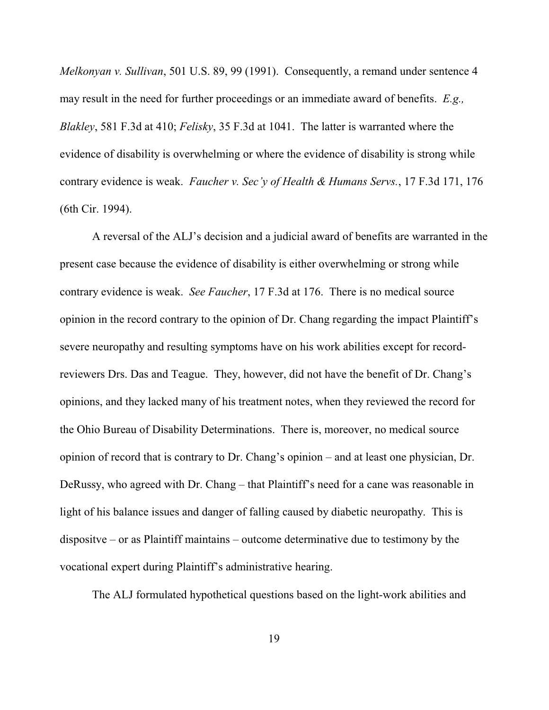*Melkonyan v. Sullivan*, 501 U.S. 89, 99 (1991). Consequently, a remand under sentence 4 may result in the need for further proceedings or an immediate award of benefits. *E.g., Blakley*, 581 F.3d at 410; *Felisky*, 35 F.3d at 1041. The latter is warranted where the evidence of disability is overwhelming or where the evidence of disability is strong while contrary evidence is weak. *Faucher v. Sec'y of Health & Humans Servs.*, 17 F.3d 171, 176 (6th Cir. 1994).

A reversal of the ALJ's decision and a judicial award of benefits are warranted in the present case because the evidence of disability is either overwhelming or strong while contrary evidence is weak. *See Faucher*, 17 F.3d at 176. There is no medical source opinion in the record contrary to the opinion of Dr. Chang regarding the impact Plaintiff's severe neuropathy and resulting symptoms have on his work abilities except for recordreviewers Drs. Das and Teague. They, however, did not have the benefit of Dr. Chang's opinions, and they lacked many of his treatment notes, when they reviewed the record for the Ohio Bureau of Disability Determinations. There is, moreover, no medical source opinion of record that is contrary to Dr. Chang's opinion – and at least one physician, Dr. DeRussy, who agreed with Dr. Chang – that Plaintiff's need for a cane was reasonable in light of his balance issues and danger of falling caused by diabetic neuropathy. This is dispositve – or as Plaintiff maintains – outcome determinative due to testimony by the vocational expert during Plaintiff's administrative hearing.

The ALJ formulated hypothetical questions based on the light-work abilities and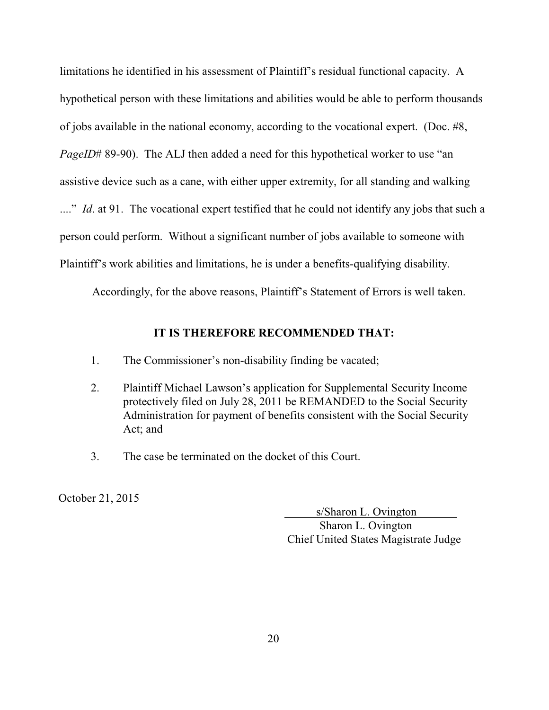limitations he identified in his assessment of Plaintiff's residual functional capacity. A hypothetical person with these limitations and abilities would be able to perform thousands of jobs available in the national economy, according to the vocational expert. (Doc. #8, *PageID*# 89-90). The ALJ then added a need for this hypothetical worker to use "an assistive device such as a cane, with either upper extremity, for all standing and walking ...." *Id.* at 91. The vocational expert testified that he could not identify any jobs that such a person could perform. Without a significant number of jobs available to someone with Plaintiff's work abilities and limitations, he is under a benefits-qualifying disability.

Accordingly, for the above reasons, Plaintiff's Statement of Errors is well taken.

### **IT IS THEREFORE RECOMMENDED THAT:**

- 1. The Commissioner's non-disability finding be vacated;
- 2. Plaintiff Michael Lawson's application for Supplemental Security Income protectively filed on July 28, 2011 be REMANDED to the Social Security Administration for payment of benefits consistent with the Social Security Act; and
- 3. The case be terminated on the docket of this Court.

October 21, 2015

s/Sharon L. Ovington

 Sharon L. Ovington Chief United States Magistrate Judge